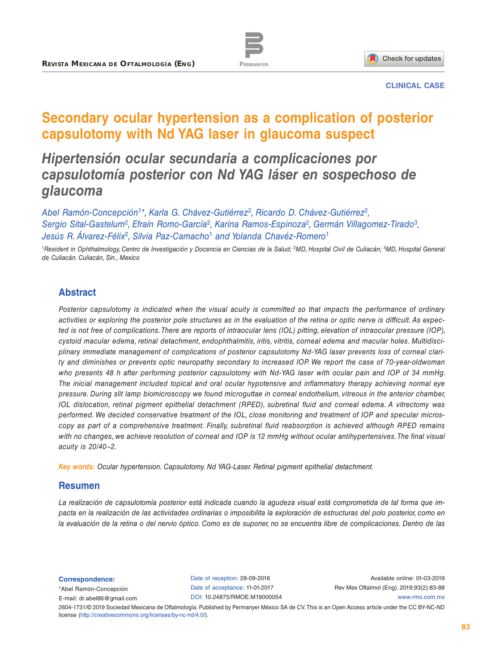



#### **CLINICAL CASE**

# **Secondary ocular hypertension as a complication of posterior capsulotomy with Nd YAG laser in glaucoma suspect**

# *Hipertensión ocular secundaria a complicaciones por capsulotomía posterior con Nd YAG láser en sospechoso de glaucoma*

*Abel Ramón-Concepción*<sup>1</sup>*\*, Karla G. Chávez-Gutiérrez*<sup>2</sup>*, Ricardo D. Chávez-Gutiérrez*<sup>2</sup>*, Sergio Sital-Gastelum*<sup>2</sup>*, Efraín Romo-García*<sup>2</sup>*, Karina Ramos-Espinoza*<sup>2</sup>*, Germán Villagomez-Tirado*<sup>3</sup>*, Jesús R. Álvarez-Félix*<sup>2</sup>*, Silvia Paz-Camacho*<sup>1</sup> *and Yolanda Chavéz-Romero*<sup>1</sup>

<sup>1</sup>*Resident in Ophthalmology, Centro de Investigación y Docencia en Ciencias de la Salud;* <sup>2</sup>*MD, Hospital Civil de Culiacán;* <sup>3</sup>*MD, Hospital General de Culiacán. Culiacán, Sin., Mexico*

## **Abstract**

*Posterior capsulotomy is indicated when the visual acuity is committed so that impacts the performance of ordinary activities or exploring the posterior pole structures as in the evaluation of the retina or optic nerve is difficult. As expected is not free of complications. There are reports of intraocular lens (IOL) pitting, elevation of intraocular pressure (IOP), cystoid macular edema, retinal detachment, endophthalmitis, iritis, vitritis, corneal edema and macular holes. Multidisciplinary immediate management of complications of posterior capsulotomy Nd-YAG laser prevents loss of corneal clarity and diminishes or prevents optic neuropathy secondary to increased IOP. We report the case of 70-year-oldwoman who presents 48 h after performing posterior capsulotomy with Nd-YAG laser with ocular pain and IOP of 34 mmHg. The inicial management included topical and oral ocular hypotensive and inflammatory therapy achieving normal eye pressure. During slit lamp biomicroscopy we found microguttae in corneal endothelium, vitreous in the anterior chamber, IOL dislocation, retinal pigment epithelial detachment (RPED), subretinal fluid and corneal edema. A vitrectomy was performed. We decided conservative treatment of the IOL, close monitoring and treatment of IOP and specular microscopy as part of a comprehensive treatment. Finally, subretinal fluid reabsorption is achieved although RPED remains with no changes, we achieve resolution of corneal and IOP is 12 mmHg without ocular antihypertensives. The final visual acuity is 20/40−2.*

*Key words: Ocular hypertension. Capsulotomy. Nd YAG-Laser. Retinal pigment epithelial detachment.*

#### **Resumen**

*La realización de capsulotomía posterior está indicada cuando la agudeza visual está comprometida de tal forma que impacta en la realización de las actividades ordinarias o imposibilita la exploración de estructuras del polo posterior, como en la evaluación de la retina o del nervio óptico. Como es de suponer, no se encuentra libre de complicaciones. Dentro de las* 

**Correspondence:**

\*Abel Ramón-Concepción E-mail: [dr.abel86@gmail.com](mailto:dr.abel86%40gmail.com?subject=) Date of reception: 28-09-2016 Date of acceptance: 11-01-2017 DOI: 1[0.24875/RMOE.M19000054](http://dx.doi.org/10.24875/RMOE.M19000054)

Available online: 01-03-2019 Rev Mex Oftalmol (Eng). 2019;93(2):83-88 [www.rmo.com.mx](http://www.rmo.com.mx)

2604-1731/© 2019 Sociedad Mexicana de Oftalmología. Published by Permanyer México SA de CV. This is an Open Access article under the CC BY-NC-ND license (<http://creativecommons.org/licenses/by-nc-nd/4.0/>).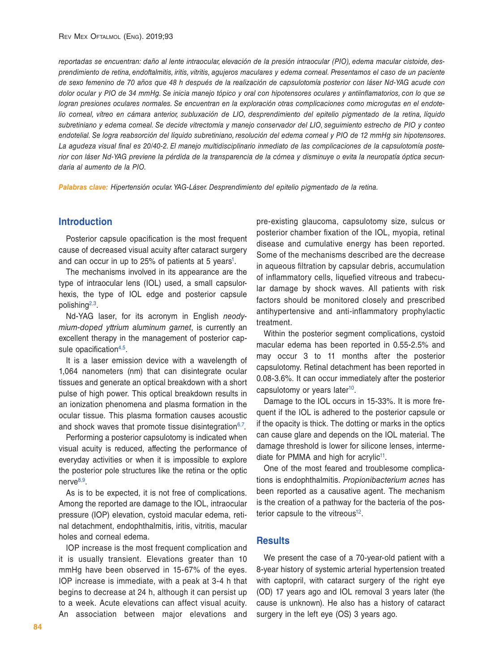*reportadas se encuentran: daño al lente intraocular, elevación de la presión intraocular (PIO), edema macular cistoide, desprendimiento de retina, endoftalmitis, iritis, vitritis, agujeros maculares y edema corneal. Presentamos el caso de un paciente de sexo femenino de 70 años que 48 h después de la realización de capsulotomía posterior con láser Nd-YAG acude con dolor ocular y PIO de 34 mmHg. Se inicia manejo tópico y oral con hipotensores oculares y antiinflamatorios, con lo que se logran presiones oculares normales. Se encuentran en la exploración otras complicaciones como microgutas en el endotelio corneal, vítreo en cámara anterior, subluxación de LIO, desprendimiento del epitelio pigmentado de la retina, líquido subretiniano y edema corneal. Se decide vitrectomía y manejo conservador del LIO, seguimiento estrecho de PIO y conteo endotelial. Se logra reabsorción del líquido subretiniano, resolución del edema corneal y PIO de 12 mmHg sin hipotensores. La agudeza visual final es 20/40-2. El manejo multidisciplinario inmediato de las complicaciones de la capsulotomía posterior con láser Nd-YAG previene la pérdida de la transparencia de la córnea y disminuye o evita la neuropatía óptica secundaria al aumento de la PIO.*

*Palabras clave: Hipertensión ocular. YAG-Láser. Desprendimiento del epitelio pigmentado de la retina.*

#### **Introduction**

Posterior capsule opacification is the most frequent cause of decreased visual acuity after cataract surgery and can occur in up to 25% of patients at 5 years<sup>1</sup>.

The mechanisms involved in its appearance are the type of intraocular lens (IOL) used, a small capsulorhexis, the type of IOL edge and posterior capsule polishin[g2](#page-5-1)[,3.](#page-5-2)

Nd-YAG laser, for its acronym in English *neodymium-doped yttrium aluminum garnet*, is currently an excellent therapy in the management of posterior cap-sule opacification<sup>[4](#page-5-3),[5](#page-5-4)</sup>

It is a laser emission device with a wavelength of 1,064 nanometers (nm) that can disintegrate ocular tissues and generate an optical breakdown with a short pulse of high power. This optical breakdown results in an ionization phenomena and plasma formation in the ocular tissue. This plasma formation causes acoustic and shock waves that promote tissue disintegration $6,7$  $6,7$  $6,7$ .

Performing a posterior capsulotomy is indicated when visual acuity is reduced, affecting the performance of everyday activities or when it is impossible to explore the posterior pole structures like the retina or the optic nerve $8,9$ .

As is to be expected, it is not free of complications. Among the reported are damage to the IOL, intraocular pressure (IOP) elevation, cystoid macular edema, retinal detachment, endophthalmitis, iritis, vitritis, macular holes and corneal edema.

IOP increase is the most frequent complication and it is usually transient. Elevations greater than 10 mmHg have been observed in 15-67% of the eyes. IOP increase is immediate, with a peak at 3-4 h that begins to decrease at 24 h, although it can persist up to a week. Acute elevations can affect visual acuity. An association between major elevations and

pre-existing glaucoma, capsulotomy size, sulcus or posterior chamber fixation of the IOL, myopia, retinal disease and cumulative energy has been reported. Some of the mechanisms described are the decrease in aqueous filtration by capsular debris, accumulation of inflammatory cells, liquefied vitreous and trabecular damage by shock waves. All patients with risk factors should be monitored closely and prescribed antihypertensive and anti-inflammatory prophylactic treatment.

Within the posterior segment complications, cystoid macular edema has been reported in 0.55-2.5% and may occur 3 to 11 months after the posterior capsulotomy. Retinal detachment has been reported in 0.08-3.6%. It can occur immediately after the posterior capsulotomy or years later<sup>10</sup>.

Damage to the IOL occurs in 15-33%. It is more frequent if the IOL is adhered to the posterior capsule or if the opacity is thick. The dotting or marks in the optics can cause glare and depends on the IOL material. The damage threshold is lower for silicone lenses, intermediate for PMMA and high for acrylic<sup>11</sup>.

One of the most feared and troublesome complications is endophthalmitis. *Propionibacterium acnes* has been reported as a causative agent. The mechanism is the creation of a pathway for the bacteria of the posterior capsule to the vitreous<sup>12</sup>.

### **Results**

We present the case of a 70-year-old patient with a 8-year history of systemic arterial hypertension treated with captopril, with cataract surgery of the right eye (OD) 17 years ago and IOL removal 3 years later (the cause is unknown). He also has a history of cataract surgery in the left eye (OS) 3 years ago.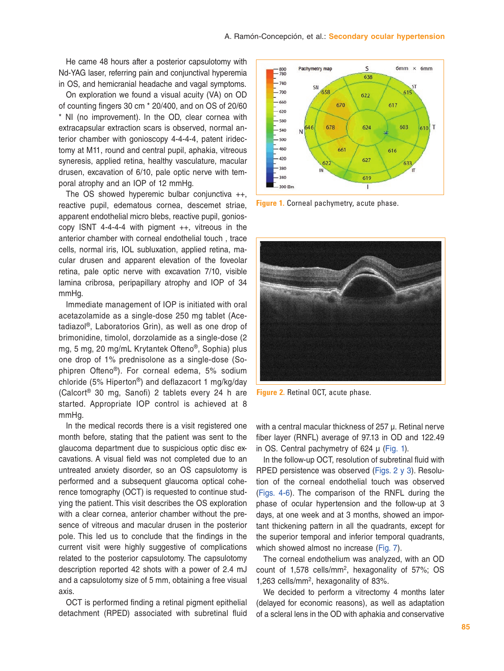He came 48 hours after a posterior capsulotomy with Nd-YAG laser, referring pain and conjunctival hyperemia in OS, and hemicranial headache and vagal symptoms.

On exploration we found a visual acuity (VA) on OD of counting fingers 30 cm \* 20/400, and on OS of 20/60 \* NI (no improvement). In the OD, clear cornea with extracapsular extraction scars is observed, normal anterior chamber with gonioscopy 4-4-4-4, patent iridectomy at M11, round and central pupil, aphakia, vitreous syneresis, applied retina, healthy vasculature, macular drusen, excavation of 6/10, pale optic nerve with temporal atrophy and an IOP of 12 mmHg.

The OS showed hyperemic bulbar conjunctiva ++, reactive pupil, edematous cornea, descemet striae, apparent endothelial micro blebs, reactive pupil, gonioscopy ISNT 4-4-4-4 with pigment ++, vitreous in the anterior chamber with corneal endothelial touch , trace cells, normal iris, IOL subluxation, applied retina, macular drusen and apparent elevation of the foveolar retina, pale optic nerve with excavation 7/10, visible lamina cribrosa, peripapillary atrophy and IOP of 34 mmHg.

Immediate management of IOP is initiated with oral acetazolamide as a single-dose 250 mg tablet (Acetadiazol®, Laboratorios Grin), as well as one drop of brimonidine, timolol, dorzolamide as a single-dose (2 mg, 5 mg, 20 mg/mL Krytantek Ofteno®, Sophia) plus one drop of 1% prednisolone as a single-dose (Sophipren Ofteno®). For corneal edema, 5% sodium chloride (5% Hiperton®) and deflazacort 1 mg/kg/day (Calcort® 30 mg, Sanofi) 2 tablets every 24 h are started. Appropriate IOP control is achieved at 8 mmHg.

In the medical records there is a visit registered one month before, stating that the patient was sent to the glaucoma department due to suspicious optic disc excavations. A visual field was not completed due to an untreated anxiety disorder, so an OS capsulotomy is performed and a subsequent glaucoma optical coherence tomography (OCT) is requested to continue studying the patient. This visit describes the OS exploration with a clear cornea, anterior chamber without the presence of vitreous and macular drusen in the posterior pole. This led us to conclude that the findings in the current visit were highly suggestive of complications related to the posterior capsulotomy. The capsulotomy description reported 42 shots with a power of 2.4 mJ and a capsulotomy size of 5 mm, obtaining a free visual axis.

OCT is performed finding a retinal pigment epithelial detachment (RPED) associated with subretinal fluid



**Figure 1.** Corneal pachymetry, acute phase.



**Figure 2.** Retinal OCT, acute phase.

with a central macular thickness of 257 μ. Retinal nerve fiber layer (RNFL) average of 97.13 in OD and 122.49 in OS. Central pachymetry of 624 μ (Fig. 1).

In the follow-up OCT, resolution of subretinal fluid with RPED persistence was observed (Figs. 2 y 3). Resolution of the corneal endothelial touch was observed ([Figs. 4-6\)](#page-3-0). The comparison of the RNFL during the phase of ocular hypertension and the follow-up at 3 days, at one week and at 3 months, showed an important thickening pattern in all the quadrants, except for the superior temporal and inferior temporal quadrants, which showed almost no increase [\(Fig. 7\)](#page-4-0).

The corneal endothelium was analyzed, with an OD count of 1,578 cells/m[m2,](#page-5-1) hexagonality of 57%; OS 1,263 cells/mm[2](#page-5-1), hexagonality of 83%.

We decided to perform a vitrectomy 4 months later (delayed for economic reasons), as well as adaptation of a scleral lens in the OD with aphakia and conservative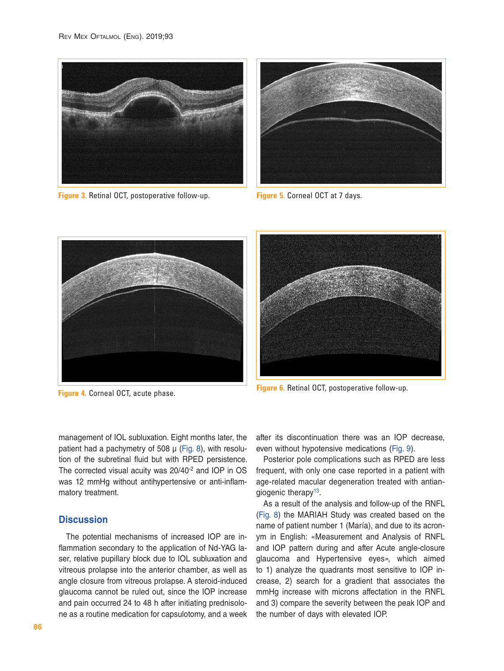<span id="page-3-0"></span>

**Figure 3.** Retinal OCT, postoperative follow-up.



**Figure 5.** Corneal OCT at 7 days.



**Figure 4.** Corneal OCT, acute phase.



**Figure 6.** Retinal OCT, postoperative follow-up.

management of IOL subluxation. Eight months later, the patient had a pachymetry of 508 μ ([Fig. 8](#page-4-0)), with resolution of the subretinal fluid but with RPED persistence. The corrected visual acuity was 20/40<sup>-2</sup> and IOP in OS was 12 mmHg without antihypertensive or anti-inflammatory treatment.

## **Discussion**

The potential mechanisms of increased IOP are inflammation secondary to the application of Nd-YAG laser, relative pupillary block due to IOL subluxation and vitreous prolapse into the anterior chamber, as well as angle closure from vitreous prolapse. A steroid-induced glaucoma cannot be ruled out, since the IOP increase and pain occurred 24 to 48 h after initiating prednisolone as a routine medication for capsulotomy, and a week after its discontinuation there was an IOP decrease, even without hypotensive medications [\(Fig. 9\)](#page-5-12).

Posterior pole complications such as RPED are less frequent, with only one case reported in a patient with age-related macular degeneration treated with antian-giogenic therapy<sup>[13](#page-5-13)</sup>.

As a result of the analysis and follow-up of the RNFL ([Fig. 8\)](#page-4-0) the MARIAH Study was created based on the name of patient number 1 (María), and due to its acronym in English: «Measurement and Analysis of RNFL and IOP pattern during and after Acute angle-closure glaucoma and Hypertensive eyes», which aimed to 1) analyze the quadrants most sensitive to IOP increase, 2) search for a gradient that associates the mmHg increase with microns affectation in the RNFL and 3) compare the severity between the peak IOP and the number of days with elevated IOP.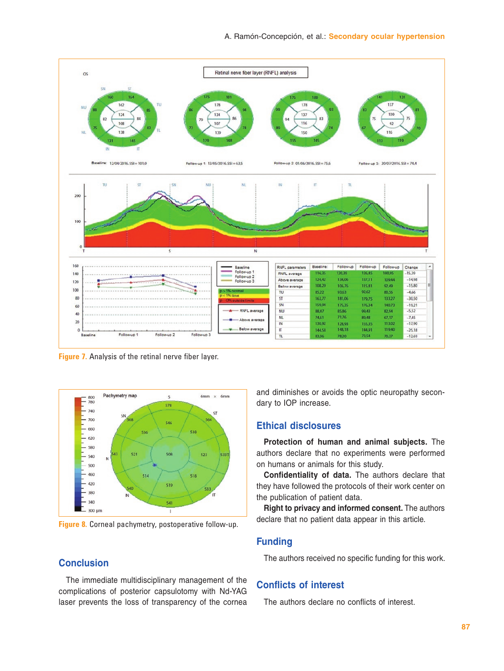<span id="page-4-0"></span>

**Figure 7.** Analysis of the retinal nerve fiber layer.



**Figure 8.** Corneal pachymetry, postoperative follow-up.

## **Conclusion**

The immediate multidisciplinary management of the complications of posterior capsulotomy with Nd-YAG laser prevents the loss of transparency of the cornea and diminishes or avoids the optic neuropathy secondary to IOP increase.

### **Ethical disclosures**

**Protection of human and animal subjects.** The authors declare that no experiments were performed on humans or animals for this study.

**Confidentiality of data.** The authors declare that they have followed the protocols of their work center on the publication of patient data.

**Right to privacy and informed consent.** The authors declare that no patient data appear in this article.

## **Funding**

The authors received no specific funding for this work.

## **Conflicts of interest**

The authors declare no conflicts of interest.